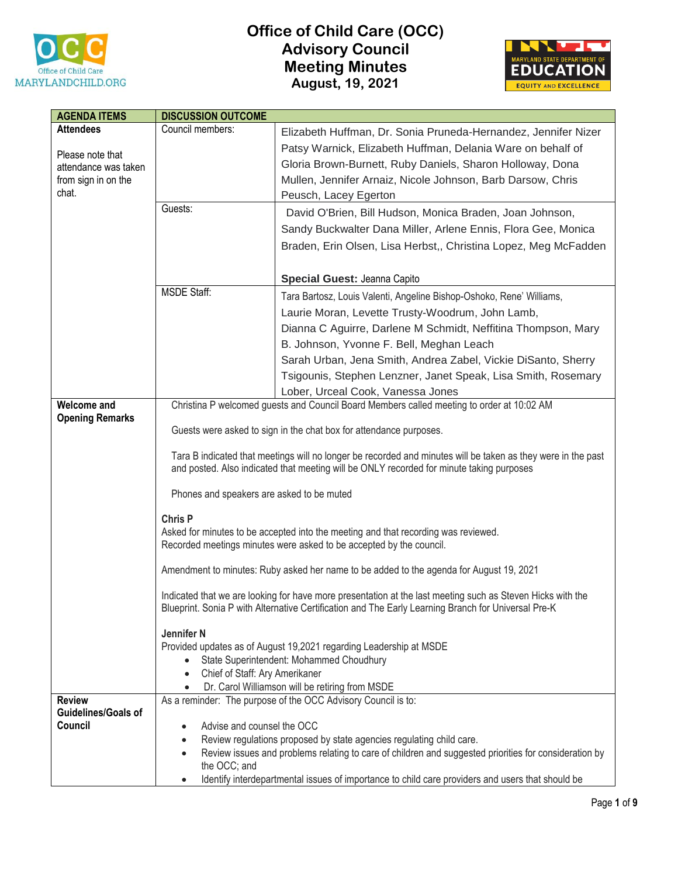

## **Office of Child Care (OCC) Advisory Council Meeting Minutes August, 19, 2021**



| <b>AGENDA ITEMS</b>                      | <b>DISCUSSION OUTCOME</b>                   |                                                                                                                                                                                                          |
|------------------------------------------|---------------------------------------------|----------------------------------------------------------------------------------------------------------------------------------------------------------------------------------------------------------|
| <b>Attendees</b>                         | Council members:                            | Elizabeth Huffman, Dr. Sonia Pruneda-Hernandez, Jennifer Nizer                                                                                                                                           |
|                                          |                                             | Patsy Warnick, Elizabeth Huffman, Delania Ware on behalf of                                                                                                                                              |
| Please note that<br>attendance was taken |                                             | Gloria Brown-Burnett, Ruby Daniels, Sharon Holloway, Dona                                                                                                                                                |
|                                          |                                             | Mullen, Jennifer Arnaiz, Nicole Johnson, Barb Darsow, Chris                                                                                                                                              |
| from sign in on the<br>chat.             |                                             |                                                                                                                                                                                                          |
|                                          | Guests:                                     | Peusch, Lacey Egerton                                                                                                                                                                                    |
|                                          |                                             | David O'Brien, Bill Hudson, Monica Braden, Joan Johnson,                                                                                                                                                 |
|                                          |                                             | Sandy Buckwalter Dana Miller, Arlene Ennis, Flora Gee, Monica                                                                                                                                            |
|                                          |                                             | Braden, Erin Olsen, Lisa Herbst,, Christina Lopez, Meg McFadden                                                                                                                                          |
|                                          |                                             |                                                                                                                                                                                                          |
|                                          |                                             | Special Guest: Jeanna Capito                                                                                                                                                                             |
|                                          | <b>MSDE Staff:</b>                          | Tara Bartosz, Louis Valenti, Angeline Bishop-Oshoko, Rene' Williams,                                                                                                                                     |
|                                          |                                             | Laurie Moran, Levette Trusty-Woodrum, John Lamb,                                                                                                                                                         |
|                                          |                                             | Dianna C Aguirre, Darlene M Schmidt, Neffitina Thompson, Mary                                                                                                                                            |
|                                          |                                             | B. Johnson, Yvonne F. Bell, Meghan Leach                                                                                                                                                                 |
|                                          |                                             | Sarah Urban, Jena Smith, Andrea Zabel, Vickie DiSanto, Sherry                                                                                                                                            |
|                                          |                                             | Tsigounis, Stephen Lenzner, Janet Speak, Lisa Smith, Rosemary                                                                                                                                            |
|                                          |                                             |                                                                                                                                                                                                          |
| <b>Welcome and</b>                       |                                             | Lober, Urceal Cook, Vanessa Jones<br>Christina P welcomed guests and Council Board Members called meeting to order at 10:02 AM                                                                           |
| <b>Opening Remarks</b>                   |                                             |                                                                                                                                                                                                          |
|                                          |                                             | Guests were asked to sign in the chat box for attendance purposes.                                                                                                                                       |
|                                          |                                             |                                                                                                                                                                                                          |
|                                          |                                             | Tara B indicated that meetings will no longer be recorded and minutes will be taken as they were in the past<br>and posted. Also indicated that meeting will be ONLY recorded for minute taking purposes |
|                                          | Phones and speakers are asked to be muted   |                                                                                                                                                                                                          |
|                                          | <b>Chris P</b>                              |                                                                                                                                                                                                          |
|                                          |                                             | Asked for minutes to be accepted into the meeting and that recording was reviewed.                                                                                                                       |
|                                          |                                             | Recorded meetings minutes were asked to be accepted by the council.                                                                                                                                      |
|                                          |                                             |                                                                                                                                                                                                          |
|                                          |                                             | Amendment to minutes: Ruby asked her name to be added to the agenda for August 19, 2021                                                                                                                  |
|                                          |                                             | Indicated that we are looking for have more presentation at the last meeting such as Steven Hicks with the                                                                                               |
|                                          |                                             | Blueprint. Sonia P with Alternative Certification and The Early Learning Branch for Universal Pre-K                                                                                                      |
|                                          | Jennifer <sub>N</sub>                       |                                                                                                                                                                                                          |
|                                          |                                             | Provided updates as of August 19,2021 regarding Leadership at MSDE                                                                                                                                       |
|                                          |                                             | State Superintendent: Mohammed Choudhury                                                                                                                                                                 |
|                                          | Chief of Staff: Ary Amerikaner<br>$\bullet$ |                                                                                                                                                                                                          |
|                                          |                                             | Dr. Carol Williamson will be retiring from MSDE                                                                                                                                                          |
| <b>Review</b>                            |                                             | As a reminder: The purpose of the OCC Advisory Council is to:                                                                                                                                            |
| <b>Guidelines/Goals of</b>               |                                             |                                                                                                                                                                                                          |
| Council                                  | Advise and counsel the OCC<br>$\bullet$     |                                                                                                                                                                                                          |
|                                          | $\bullet$<br>$\bullet$                      | Review regulations proposed by state agencies regulating child care.<br>Review issues and problems relating to care of children and suggested priorities for consideration by                            |
|                                          | the OCC; and                                |                                                                                                                                                                                                          |
|                                          |                                             | Identify interdepartmental issues of importance to child care providers and users that should be                                                                                                         |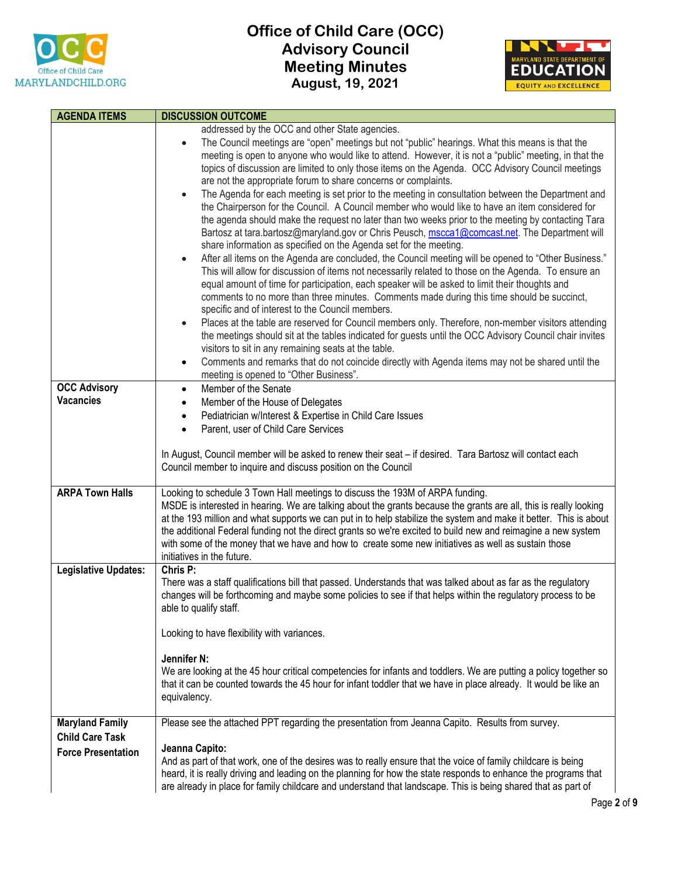



| <b>AGENDA ITEMS</b>         | <b>DISCUSSION OUTCOME</b>                                                                                                                                                                              |
|-----------------------------|--------------------------------------------------------------------------------------------------------------------------------------------------------------------------------------------------------|
|                             | addressed by the OCC and other State agencies.                                                                                                                                                         |
|                             | The Council meetings are "open" meetings but not "public" hearings. What this means is that the<br>$\bullet$                                                                                           |
|                             | meeting is open to anyone who would like to attend. However, it is not a "public" meeting, in that the                                                                                                 |
|                             | topics of discussion are limited to only those items on the Agenda. OCC Advisory Council meetings                                                                                                      |
|                             | are not the appropriate forum to share concerns or complaints.                                                                                                                                         |
|                             | The Agenda for each meeting is set prior to the meeting in consultation between the Department and<br>$\bullet$                                                                                        |
|                             | the Chairperson for the Council. A Council member who would like to have an item considered for                                                                                                        |
|                             | the agenda should make the request no later than two weeks prior to the meeting by contacting Tara                                                                                                     |
|                             | Bartosz at tara.bartosz@maryland.gov or Chris Peusch, mscca1@comcast.net. The Department will                                                                                                          |
|                             | share information as specified on the Agenda set for the meeting.                                                                                                                                      |
|                             | After all items on the Agenda are concluded, the Council meeting will be opened to "Other Business."<br>$\bullet$                                                                                      |
|                             | This will allow for discussion of items not necessarily related to those on the Agenda. To ensure an<br>equal amount of time for participation, each speaker will be asked to limit their thoughts and |
|                             | comments to no more than three minutes. Comments made during this time should be succinct,                                                                                                             |
|                             | specific and of interest to the Council members.                                                                                                                                                       |
|                             | Places at the table are reserved for Council members only. Therefore, non-member visitors attending<br>$\bullet$                                                                                       |
|                             | the meetings should sit at the tables indicated for guests until the OCC Advisory Council chair invites                                                                                                |
|                             | visitors to sit in any remaining seats at the table.                                                                                                                                                   |
|                             | Comments and remarks that do not coincide directly with Agenda items may not be shared until the                                                                                                       |
|                             | meeting is opened to "Other Business".                                                                                                                                                                 |
| <b>OCC Advisory</b>         | Member of the Senate<br>$\bullet$                                                                                                                                                                      |
| <b>Vacancies</b>            | Member of the House of Delegates<br>$\bullet$                                                                                                                                                          |
|                             | Pediatrician w/Interest & Expertise in Child Care Issues                                                                                                                                               |
|                             | Parent, user of Child Care Services<br>٠                                                                                                                                                               |
|                             |                                                                                                                                                                                                        |
|                             | In August, Council member will be asked to renew their seat - if desired. Tara Bartosz will contact each                                                                                               |
|                             | Council member to inquire and discuss position on the Council                                                                                                                                          |
| <b>ARPA Town Halls</b>      | Looking to schedule 3 Town Hall meetings to discuss the 193M of ARPA funding.                                                                                                                          |
|                             | MSDE is interested in hearing. We are talking about the grants because the grants are all, this is really looking                                                                                      |
|                             | at the 193 million and what supports we can put in to help stabilize the system and make it better. This is about                                                                                      |
|                             | the additional Federal funding not the direct grants so we're excited to build new and reimagine a new system                                                                                          |
|                             | with some of the money that we have and how to create some new initiatives as well as sustain those                                                                                                    |
|                             | initiatives in the future.                                                                                                                                                                             |
| <b>Legislative Updates:</b> | Chris P:                                                                                                                                                                                               |
|                             | There was a staff qualifications bill that passed. Understands that was talked about as far as the regulatory                                                                                          |
|                             | changes will be forthcoming and maybe some policies to see if that helps within the regulatory process to be                                                                                           |
|                             | able to qualify staff.                                                                                                                                                                                 |
|                             | Looking to have flexibility with variances.                                                                                                                                                            |
|                             |                                                                                                                                                                                                        |
|                             | Jennifer N:                                                                                                                                                                                            |
|                             | We are looking at the 45 hour critical competencies for infants and toddlers. We are putting a policy together so                                                                                      |
|                             | that it can be counted towards the 45 hour for infant toddler that we have in place already. It would be like an                                                                                       |
|                             | equivalency.                                                                                                                                                                                           |
|                             |                                                                                                                                                                                                        |
| <b>Maryland Family</b>      | Please see the attached PPT regarding the presentation from Jeanna Capito. Results from survey.                                                                                                        |
| <b>Child Care Task</b>      | Jeanna Capito:                                                                                                                                                                                         |
| <b>Force Presentation</b>   | And as part of that work, one of the desires was to really ensure that the voice of family childcare is being                                                                                          |
|                             | heard, it is really driving and leading on the planning for how the state responds to enhance the programs that                                                                                        |
|                             | are already in place for family childcare and understand that landscape. This is being shared that as part of                                                                                          |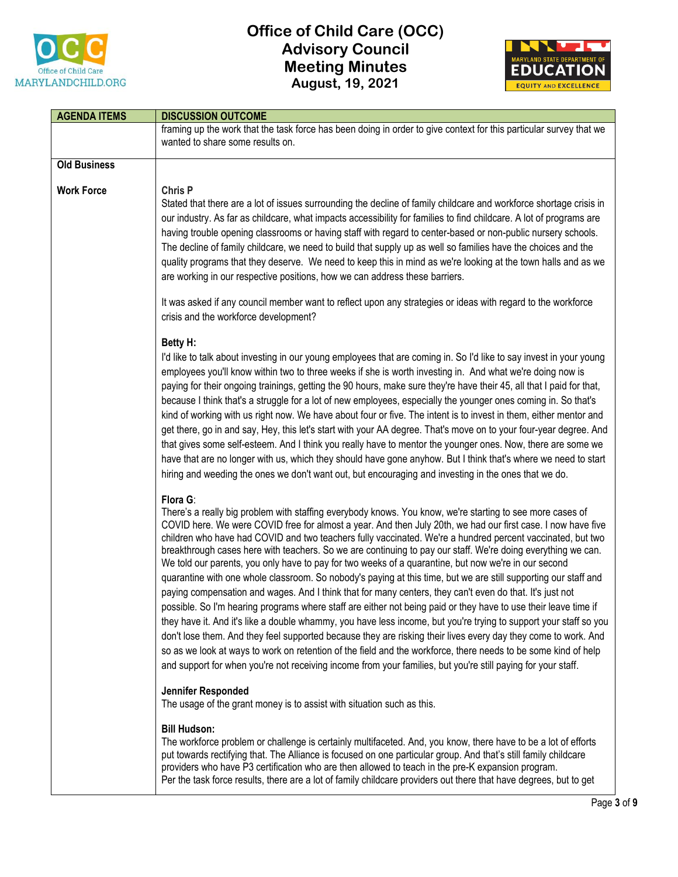



| <b>AGENDA ITEMS</b> | <b>DISCUSSION OUTCOME</b>                                                                                                                                                                                                                                                                                                                                                                                                                                                                                                                                                                                                                                                                                                                                                                                                                                                                                                                                                                                                                                                                                                                                                                                                                                                                                                                                                                              |
|---------------------|--------------------------------------------------------------------------------------------------------------------------------------------------------------------------------------------------------------------------------------------------------------------------------------------------------------------------------------------------------------------------------------------------------------------------------------------------------------------------------------------------------------------------------------------------------------------------------------------------------------------------------------------------------------------------------------------------------------------------------------------------------------------------------------------------------------------------------------------------------------------------------------------------------------------------------------------------------------------------------------------------------------------------------------------------------------------------------------------------------------------------------------------------------------------------------------------------------------------------------------------------------------------------------------------------------------------------------------------------------------------------------------------------------|
|                     | framing up the work that the task force has been doing in order to give context for this particular survey that we<br>wanted to share some results on.                                                                                                                                                                                                                                                                                                                                                                                                                                                                                                                                                                                                                                                                                                                                                                                                                                                                                                                                                                                                                                                                                                                                                                                                                                                 |
| <b>Old Business</b> |                                                                                                                                                                                                                                                                                                                                                                                                                                                                                                                                                                                                                                                                                                                                                                                                                                                                                                                                                                                                                                                                                                                                                                                                                                                                                                                                                                                                        |
| <b>Work Force</b>   | Chris P<br>Stated that there are a lot of issues surrounding the decline of family childcare and workforce shortage crisis in<br>our industry. As far as childcare, what impacts accessibility for families to find childcare. A lot of programs are<br>having trouble opening classrooms or having staff with regard to center-based or non-public nursery schools.<br>The decline of family childcare, we need to build that supply up as well so families have the choices and the<br>quality programs that they deserve. We need to keep this in mind as we're looking at the town halls and as we<br>are working in our respective positions, how we can address these barriers.<br>It was asked if any council member want to reflect upon any strategies or ideas with regard to the workforce<br>crisis and the workforce development?                                                                                                                                                                                                                                                                                                                                                                                                                                                                                                                                                         |
|                     | Betty H:<br>I'd like to talk about investing in our young employees that are coming in. So I'd like to say invest in your young<br>employees you'll know within two to three weeks if she is worth investing in. And what we're doing now is<br>paying for their ongoing trainings, getting the 90 hours, make sure they're have their 45, all that I paid for that,<br>because I think that's a struggle for a lot of new employees, especially the younger ones coming in. So that's<br>kind of working with us right now. We have about four or five. The intent is to invest in them, either mentor and<br>get there, go in and say, Hey, this let's start with your AA degree. That's move on to your four-year degree. And<br>that gives some self-esteem. And I think you really have to mentor the younger ones. Now, there are some we<br>have that are no longer with us, which they should have gone anyhow. But I think that's where we need to start<br>hiring and weeding the ones we don't want out, but encouraging and investing in the ones that we do.                                                                                                                                                                                                                                                                                                                              |
|                     | Flora G:<br>There's a really big problem with staffing everybody knows. You know, we're starting to see more cases of<br>COVID here. We were COVID free for almost a year. And then July 20th, we had our first case. I now have five<br>children who have had COVID and two teachers fully vaccinated. We're a hundred percent vaccinated, but two<br>breakthrough cases here with teachers. So we are continuing to pay our staff. We're doing everything we can.<br>We told our parents, you only have to pay for two weeks of a quarantine, but now we're in our second<br>quarantine with one whole classroom. So nobody's paying at this time, but we are still supporting our staff and<br>paying compensation and wages. And I think that for many centers, they can't even do that. It's just not<br>possible. So I'm hearing programs where staff are either not being paid or they have to use their leave time if<br>they have it. And it's like a double whammy, you have less income, but you're trying to support your staff so you<br>don't lose them. And they feel supported because they are risking their lives every day they come to work. And<br>so as we look at ways to work on retention of the field and the workforce, there needs to be some kind of help<br>and support for when you're not receiving income from your families, but you're still paying for your staff. |
|                     | Jennifer Responded<br>The usage of the grant money is to assist with situation such as this.                                                                                                                                                                                                                                                                                                                                                                                                                                                                                                                                                                                                                                                                                                                                                                                                                                                                                                                                                                                                                                                                                                                                                                                                                                                                                                           |
|                     | <b>Bill Hudson:</b><br>The workforce problem or challenge is certainly multifaceted. And, you know, there have to be a lot of efforts<br>put towards rectifying that. The Alliance is focused on one particular group. And that's still family childcare<br>providers who have P3 certification who are then allowed to teach in the pre-K expansion program.<br>Per the task force results, there are a lot of family childcare providers out there that have degrees, but to get                                                                                                                                                                                                                                                                                                                                                                                                                                                                                                                                                                                                                                                                                                                                                                                                                                                                                                                     |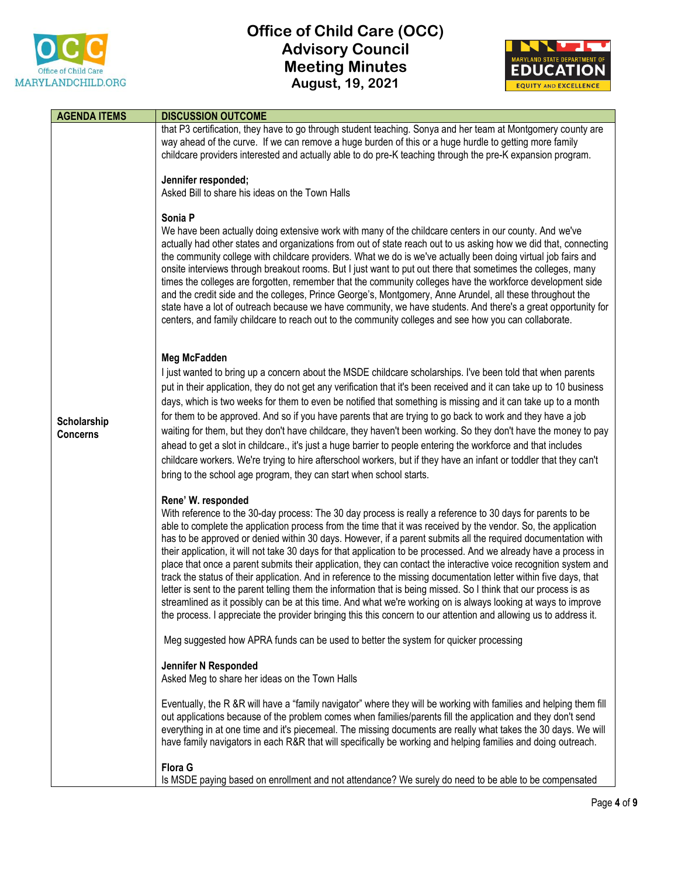

## **Office of Child Care (OCC) Advisory Council Meeting Minutes August, 19, 2021**



| <b>AGENDA ITEMS</b>            | <b>DISCUSSION OUTCOME</b>                                                                                                                                                                                                                                                                                                                                                                                                                                                                                                                                                                                                                                                                                                                                                                                                                                                                                                                                                                                                                                                                         |
|--------------------------------|---------------------------------------------------------------------------------------------------------------------------------------------------------------------------------------------------------------------------------------------------------------------------------------------------------------------------------------------------------------------------------------------------------------------------------------------------------------------------------------------------------------------------------------------------------------------------------------------------------------------------------------------------------------------------------------------------------------------------------------------------------------------------------------------------------------------------------------------------------------------------------------------------------------------------------------------------------------------------------------------------------------------------------------------------------------------------------------------------|
|                                | that P3 certification, they have to go through student teaching. Sonya and her team at Montgomery county are<br>way ahead of the curve. If we can remove a huge burden of this or a huge hurdle to getting more family<br>childcare providers interested and actually able to do pre-K teaching through the pre-K expansion program.                                                                                                                                                                                                                                                                                                                                                                                                                                                                                                                                                                                                                                                                                                                                                              |
|                                | Jennifer responded;<br>Asked Bill to share his ideas on the Town Halls                                                                                                                                                                                                                                                                                                                                                                                                                                                                                                                                                                                                                                                                                                                                                                                                                                                                                                                                                                                                                            |
| Scholarship<br><b>Concerns</b> | Sonia P<br>We have been actually doing extensive work with many of the childcare centers in our county. And we've<br>actually had other states and organizations from out of state reach out to us asking how we did that, connecting<br>the community college with childcare providers. What we do is we've actually been doing virtual job fairs and<br>onsite interviews through breakout rooms. But I just want to put out there that sometimes the colleges, many<br>times the colleges are forgotten, remember that the community colleges have the workforce development side<br>and the credit side and the colleges, Prince George's, Montgomery, Anne Arundel, all these throughout the<br>state have a lot of outreach because we have community, we have students. And there's a great opportunity for<br>centers, and family childcare to reach out to the community colleges and see how you can collaborate.                                                                                                                                                                       |
|                                | Meg McFadden<br>I just wanted to bring up a concern about the MSDE childcare scholarships. I've been told that when parents<br>put in their application, they do not get any verification that it's been received and it can take up to 10 business<br>days, which is two weeks for them to even be notified that something is missing and it can take up to a month<br>for them to be approved. And so if you have parents that are trying to go back to work and they have a job<br>waiting for them, but they don't have childcare, they haven't been working. So they don't have the money to pay<br>ahead to get a slot in childcare., it's just a huge barrier to people entering the workforce and that includes<br>childcare workers. We're trying to hire afterschool workers, but if they have an infant or toddler that they can't<br>bring to the school age program, they can start when school starts.                                                                                                                                                                              |
|                                | Rene' W. responded<br>With reference to the 30-day process: The 30 day process is really a reference to 30 days for parents to be<br>able to complete the application process from the time that it was received by the vendor. So, the application<br>has to be approved or denied within 30 days. However, if a parent submits all the required documentation with<br>their application, it will not take 30 days for that application to be processed. And we already have a process in<br>place that once a parent submits their application, they can contact the interactive voice recognition system and<br>track the status of their application. And in reference to the missing documentation letter within five days, that<br>letter is sent to the parent telling them the information that is being missed. So I think that our process is as<br>streamlined as it possibly can be at this time. And what we're working on is always looking at ways to improve<br>the process. I appreciate the provider bringing this this concern to our attention and allowing us to address it. |
|                                | Meg suggested how APRA funds can be used to better the system for quicker processing                                                                                                                                                                                                                                                                                                                                                                                                                                                                                                                                                                                                                                                                                                                                                                                                                                                                                                                                                                                                              |
|                                | Jennifer N Responded<br>Asked Meg to share her ideas on the Town Halls                                                                                                                                                                                                                                                                                                                                                                                                                                                                                                                                                                                                                                                                                                                                                                                                                                                                                                                                                                                                                            |
|                                | Eventually, the R &R will have a "family navigator" where they will be working with families and helping them fill<br>out applications because of the problem comes when families/parents fill the application and they don't send<br>everything in at one time and it's piecemeal. The missing documents are really what takes the 30 days. We will<br>have family navigators in each R&R that will specifically be working and helping families and doing outreach.                                                                                                                                                                                                                                                                                                                                                                                                                                                                                                                                                                                                                             |
|                                | <b>Flora G</b><br>Is MSDE paying based on enrollment and not attendance? We surely do need to be able to be compensated                                                                                                                                                                                                                                                                                                                                                                                                                                                                                                                                                                                                                                                                                                                                                                                                                                                                                                                                                                           |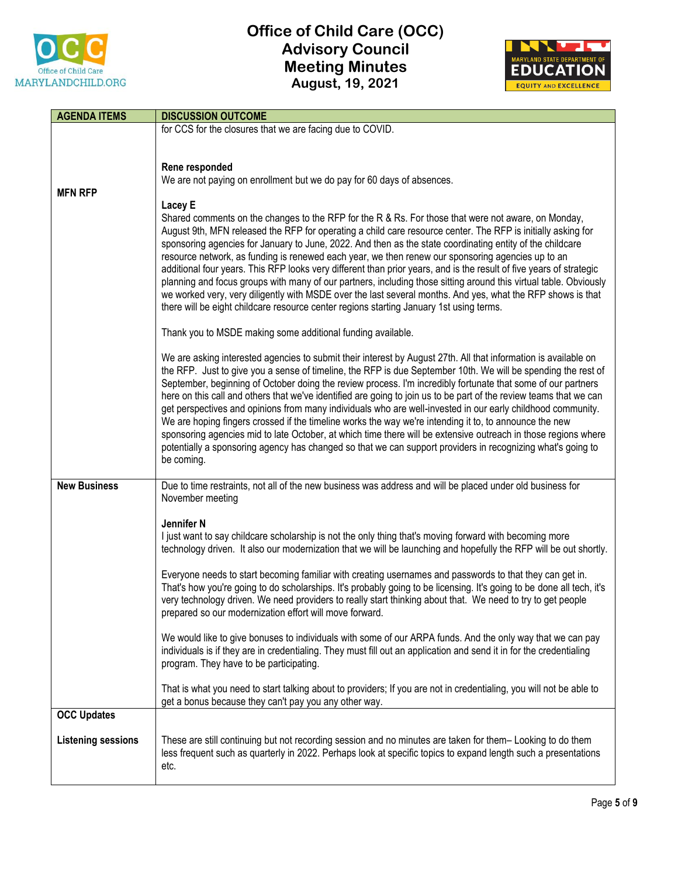

## **Office of Child Care (OCC) Advisory Council Meeting Minutes August, 19, 2021**



| <b>AGENDA ITEMS</b>       | <b>DISCUSSION OUTCOME</b>                                                                                                                                                                                                                |
|---------------------------|------------------------------------------------------------------------------------------------------------------------------------------------------------------------------------------------------------------------------------------|
|                           | for CCS for the closures that we are facing due to COVID.                                                                                                                                                                                |
|                           |                                                                                                                                                                                                                                          |
|                           |                                                                                                                                                                                                                                          |
|                           | Rene responded<br>We are not paying on enrollment but we do pay for 60 days of absences.                                                                                                                                                 |
| <b>MFN RFP</b>            |                                                                                                                                                                                                                                          |
|                           | Lacey E                                                                                                                                                                                                                                  |
|                           | Shared comments on the changes to the RFP for the R & Rs. For those that were not aware, on Monday,                                                                                                                                      |
|                           | August 9th, MFN released the RFP for operating a child care resource center. The RFP is initially asking for                                                                                                                             |
|                           | sponsoring agencies for January to June, 2022. And then as the state coordinating entity of the childcare                                                                                                                                |
|                           | resource network, as funding is renewed each year, we then renew our sponsoring agencies up to an                                                                                                                                        |
|                           | additional four years. This RFP looks very different than prior years, and is the result of five years of strategic<br>planning and focus groups with many of our partners, including those sitting around this virtual table. Obviously |
|                           | we worked very, very diligently with MSDE over the last several months. And yes, what the RFP shows is that                                                                                                                              |
|                           | there will be eight childcare resource center regions starting January 1st using terms.                                                                                                                                                  |
|                           |                                                                                                                                                                                                                                          |
|                           | Thank you to MSDE making some additional funding available.                                                                                                                                                                              |
|                           |                                                                                                                                                                                                                                          |
|                           | We are asking interested agencies to submit their interest by August 27th. All that information is available on<br>the RFP. Just to give you a sense of timeline, the RFP is due September 10th. We will be spending the rest of         |
|                           | September, beginning of October doing the review process. I'm incredibly fortunate that some of our partners                                                                                                                             |
|                           | here on this call and others that we've identified are going to join us to be part of the review teams that we can                                                                                                                       |
|                           | get perspectives and opinions from many individuals who are well-invested in our early childhood community.                                                                                                                              |
|                           | We are hoping fingers crossed if the timeline works the way we're intending it to, to announce the new                                                                                                                                   |
|                           | sponsoring agencies mid to late October, at which time there will be extensive outreach in those regions where                                                                                                                           |
|                           | potentially a sponsoring agency has changed so that we can support providers in recognizing what's going to<br>be coming.                                                                                                                |
|                           |                                                                                                                                                                                                                                          |
| <b>New Business</b>       | Due to time restraints, not all of the new business was address and will be placed under old business for                                                                                                                                |
|                           | November meeting                                                                                                                                                                                                                         |
|                           |                                                                                                                                                                                                                                          |
|                           | Jennifer <sub>N</sub><br>I just want to say childcare scholarship is not the only thing that's moving forward with becoming more                                                                                                         |
|                           | technology driven. It also our modernization that we will be launching and hopefully the RFP will be out shortly.                                                                                                                        |
|                           |                                                                                                                                                                                                                                          |
|                           | Everyone needs to start becoming familiar with creating usernames and passwords to that they can get in.                                                                                                                                 |
|                           | That's how you're going to do scholarships. It's probably going to be licensing. It's going to be done all tech, it's                                                                                                                    |
|                           | very technology driven. We need providers to really start thinking about that. We need to try to get people                                                                                                                              |
|                           | prepared so our modernization effort will move forward.                                                                                                                                                                                  |
|                           | We would like to give bonuses to individuals with some of our ARPA funds. And the only way that we can pay                                                                                                                               |
|                           | individuals is if they are in credentialing. They must fill out an application and send it in for the credentialing                                                                                                                      |
|                           | program. They have to be participating.                                                                                                                                                                                                  |
|                           |                                                                                                                                                                                                                                          |
|                           | That is what you need to start talking about to providers; If you are not in credentialing, you will not be able to                                                                                                                      |
| <b>OCC Updates</b>        | get a bonus because they can't pay you any other way.                                                                                                                                                                                    |
|                           |                                                                                                                                                                                                                                          |
| <b>Listening sessions</b> | These are still continuing but not recording session and no minutes are taken for them-Looking to do them                                                                                                                                |
|                           | less frequent such as quarterly in 2022. Perhaps look at specific topics to expand length such a presentations                                                                                                                           |
|                           | etc.                                                                                                                                                                                                                                     |
|                           |                                                                                                                                                                                                                                          |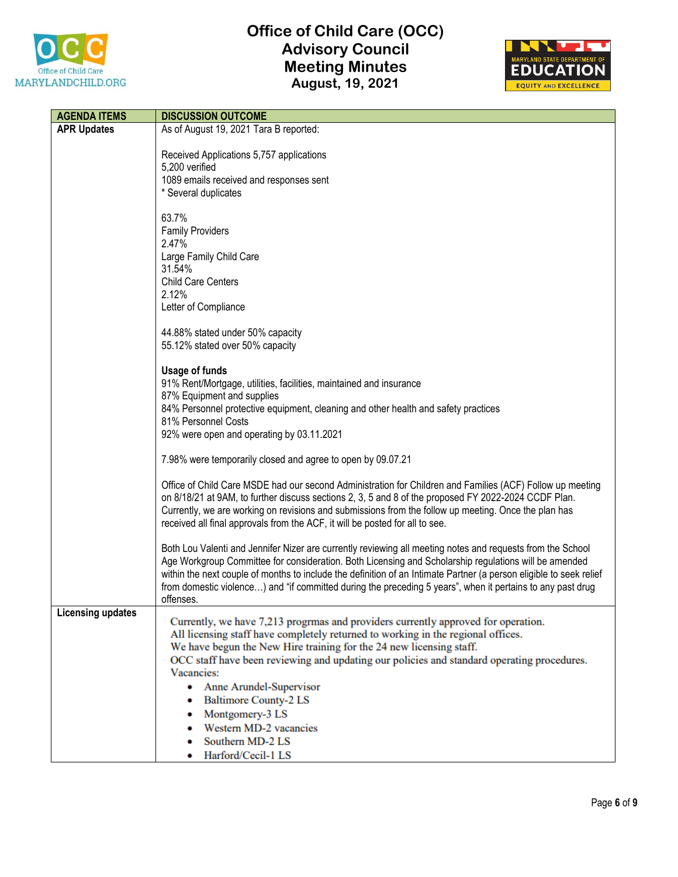



| <b>AGENDA ITEMS</b>      | <b>DISCUSSION OUTCOME</b>                                                                                                                                         |
|--------------------------|-------------------------------------------------------------------------------------------------------------------------------------------------------------------|
| <b>APR Updates</b>       | As of August 19, 2021 Tara B reported:                                                                                                                            |
|                          |                                                                                                                                                                   |
|                          | Received Applications 5,757 applications<br>5,200 verified                                                                                                        |
|                          | 1089 emails received and responses sent                                                                                                                           |
|                          | * Several duplicates                                                                                                                                              |
|                          |                                                                                                                                                                   |
|                          | 63.7%                                                                                                                                                             |
|                          | <b>Family Providers</b><br>2.47%                                                                                                                                  |
|                          | Large Family Child Care                                                                                                                                           |
|                          | 31.54%                                                                                                                                                            |
|                          | <b>Child Care Centers</b>                                                                                                                                         |
|                          | 2.12%                                                                                                                                                             |
|                          | Letter of Compliance                                                                                                                                              |
|                          | 44.88% stated under 50% capacity                                                                                                                                  |
|                          | 55.12% stated over 50% capacity                                                                                                                                   |
|                          |                                                                                                                                                                   |
|                          | <b>Usage of funds</b>                                                                                                                                             |
|                          | 91% Rent/Mortgage, utilities, facilities, maintained and insurance                                                                                                |
|                          | 87% Equipment and supplies<br>84% Personnel protective equipment, cleaning and other health and safety practices                                                  |
|                          | 81% Personnel Costs                                                                                                                                               |
|                          | 92% were open and operating by 03.11.2021                                                                                                                         |
|                          |                                                                                                                                                                   |
|                          | 7.98% were temporarily closed and agree to open by 09.07.21                                                                                                       |
|                          | Office of Child Care MSDE had our second Administration for Children and Families (ACF) Follow up meeting                                                         |
|                          | on 8/18/21 at 9AM, to further discuss sections 2, 3, 5 and 8 of the proposed FY 2022-2024 CCDF Plan.                                                              |
|                          | Currently, we are working on revisions and submissions from the follow up meeting. Once the plan has                                                              |
|                          | received all final approvals from the ACF, it will be posted for all to see.                                                                                      |
|                          | Both Lou Valenti and Jennifer Nizer are currently reviewing all meeting notes and requests from the School                                                        |
|                          | Age Workgroup Committee for consideration. Both Licensing and Scholarship regulations will be amended                                                             |
|                          | within the next couple of months to include the definition of an Intimate Partner (a person eligible to seek relief                                               |
|                          | from domestic violence) and "if committed during the preceding 5 years", when it pertains to any past drug                                                        |
| <b>Licensing updates</b> | offenses.                                                                                                                                                         |
|                          | Currently, we have 7,213 progrmas and providers currently approved for operation.                                                                                 |
|                          | All licensing staff have completely returned to working in the regional offices.                                                                                  |
|                          | We have begun the New Hire training for the 24 new licensing staff.<br>OCC staff have been reviewing and updating our policies and standard operating procedures. |
|                          | Vacancies:                                                                                                                                                        |
|                          | Anne Arundel-Supervisor<br>۰                                                                                                                                      |
|                          | <b>Baltimore County-2 LS</b>                                                                                                                                      |
|                          | Montgomery-3 LS                                                                                                                                                   |
|                          | Western MD-2 vacancies                                                                                                                                            |
|                          | Southern MD-2 LS                                                                                                                                                  |
|                          | Harford/Cecil-1 LS                                                                                                                                                |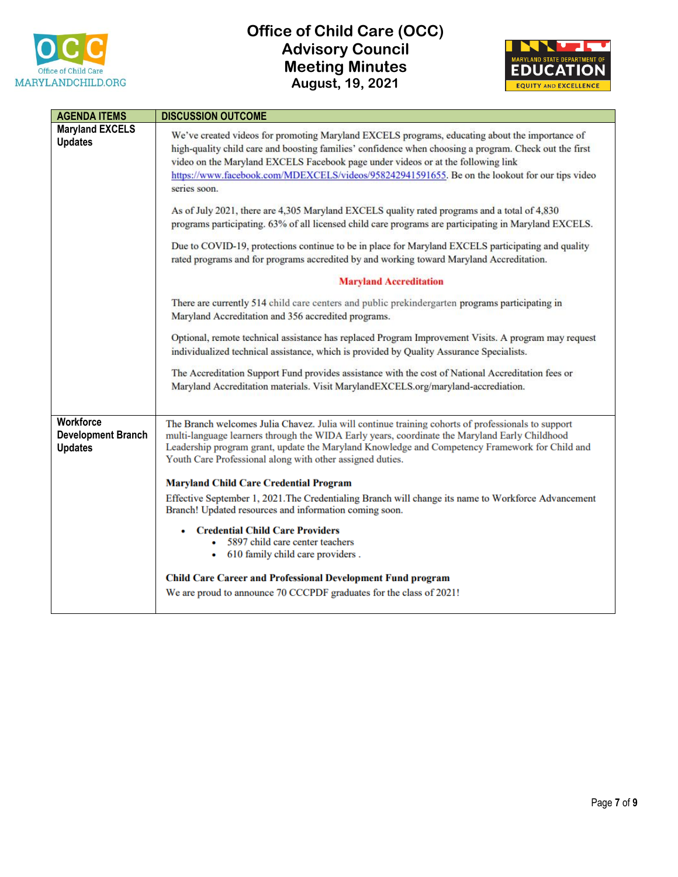



| <b>AGENDA ITEMS</b>                                      | <b>DISCUSSION OUTCOME</b>                                                                                                                                                                                                                                                                                                                                                                                                                                                                                                                                                                                                                                                                                                                                                                                                                                                                                                                                                                                                                                                                                                                                                                                                                                                                                                                                                                                           |
|----------------------------------------------------------|---------------------------------------------------------------------------------------------------------------------------------------------------------------------------------------------------------------------------------------------------------------------------------------------------------------------------------------------------------------------------------------------------------------------------------------------------------------------------------------------------------------------------------------------------------------------------------------------------------------------------------------------------------------------------------------------------------------------------------------------------------------------------------------------------------------------------------------------------------------------------------------------------------------------------------------------------------------------------------------------------------------------------------------------------------------------------------------------------------------------------------------------------------------------------------------------------------------------------------------------------------------------------------------------------------------------------------------------------------------------------------------------------------------------|
| <b>Maryland EXCELS</b><br><b>Updates</b>                 | We've created videos for promoting Maryland EXCELS programs, educating about the importance of<br>high-quality child care and boosting families' confidence when choosing a program. Check out the first<br>video on the Maryland EXCELS Facebook page under videos or at the following link<br>https://www.facebook.com/MDEXCELS/videos/958242941591655. Be on the lookout for our tips video<br>series soon.<br>As of July 2021, there are 4,305 Maryland EXCELS quality rated programs and a total of 4,830<br>programs participating. 63% of all licensed child care programs are participating in Maryland EXCELS.<br>Due to COVID-19, protections continue to be in place for Maryland EXCELS participating and quality<br>rated programs and for programs accredited by and working toward Maryland Accreditation.<br><b>Maryland Accreditation</b><br>There are currently 514 child care centers and public prekindergarten programs participating in<br>Maryland Accreditation and 356 accredited programs.<br>Optional, remote technical assistance has replaced Program Improvement Visits. A program may request<br>individualized technical assistance, which is provided by Quality Assurance Specialists.<br>The Accreditation Support Fund provides assistance with the cost of National Accreditation fees or<br>Maryland Accreditation materials. Visit MarylandEXCELS.org/maryland-accrediation. |
| Workforce<br><b>Development Branch</b><br><b>Updates</b> | The Branch welcomes Julia Chavez. Julia will continue training cohorts of professionals to support<br>multi-language learners through the WIDA Early years, coordinate the Maryland Early Childhood<br>Leadership program grant, update the Maryland Knowledge and Competency Framework for Child and<br>Youth Care Professional along with other assigned duties.<br><b>Maryland Child Care Credential Program</b><br>Effective September 1, 2021. The Credentialing Branch will change its name to Workforce Advancement<br>Branch! Updated resources and information coming soon.<br>• Credential Child Care Providers<br>5897 child care center teachers<br>• 610 family child care providers.<br><b>Child Care Career and Professional Development Fund program</b><br>We are proud to announce 70 CCCPDF graduates for the class of 2021!                                                                                                                                                                                                                                                                                                                                                                                                                                                                                                                                                                     |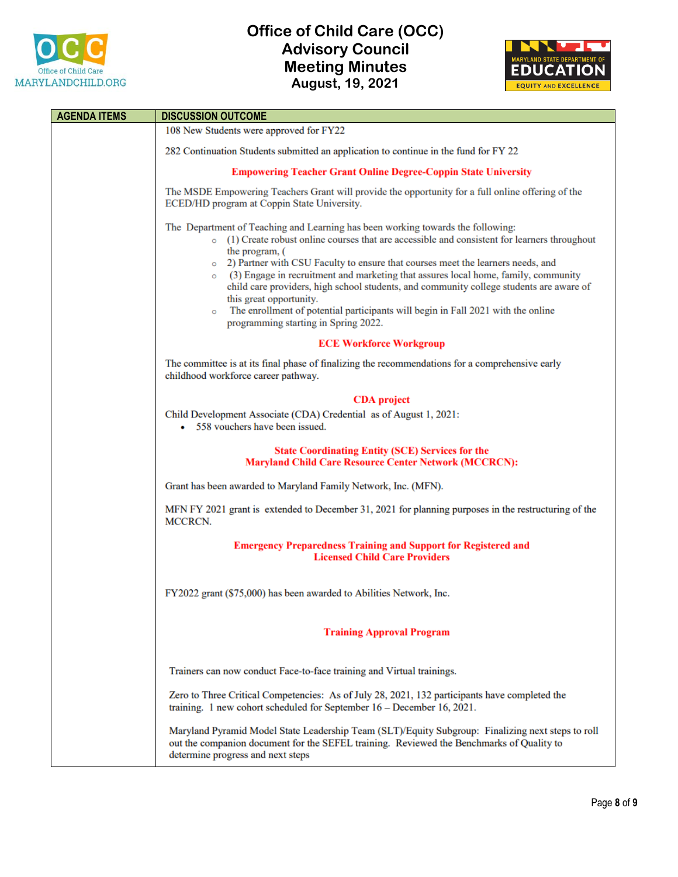



| <b>AGENDA ITEMS</b> | <b>DISCUSSION OUTCOME</b>                                                                                                                                                                                                                                                                                                                                                                                                                                                                                                                                                                                                                                |
|---------------------|----------------------------------------------------------------------------------------------------------------------------------------------------------------------------------------------------------------------------------------------------------------------------------------------------------------------------------------------------------------------------------------------------------------------------------------------------------------------------------------------------------------------------------------------------------------------------------------------------------------------------------------------------------|
|                     | 108 New Students were approved for FY22                                                                                                                                                                                                                                                                                                                                                                                                                                                                                                                                                                                                                  |
|                     | 282 Continuation Students submitted an application to continue in the fund for FY 22                                                                                                                                                                                                                                                                                                                                                                                                                                                                                                                                                                     |
|                     | <b>Empowering Teacher Grant Online Degree-Coppin State University</b>                                                                                                                                                                                                                                                                                                                                                                                                                                                                                                                                                                                    |
|                     | The MSDE Empowering Teachers Grant will provide the opportunity for a full online offering of the<br>ECED/HD program at Coppin State University.                                                                                                                                                                                                                                                                                                                                                                                                                                                                                                         |
|                     | The Department of Teaching and Learning has been working towards the following:<br>$\circ$ (1) Create robust online courses that are accessible and consistent for learners throughout<br>the program, (<br>o 2) Partner with CSU Faculty to ensure that courses meet the learners needs, and<br>$\circ$ (3) Engage in recruitment and marketing that assures local home, family, community<br>child care providers, high school students, and community college students are aware of<br>this great opportunity.<br>The enrollment of potential participants will begin in Fall 2021 with the online<br>$\circ$<br>programming starting in Spring 2022. |
|                     | <b>ECE Workforce Workgroup</b>                                                                                                                                                                                                                                                                                                                                                                                                                                                                                                                                                                                                                           |
|                     | The committee is at its final phase of finalizing the recommendations for a comprehensive early<br>childhood workforce career pathway.                                                                                                                                                                                                                                                                                                                                                                                                                                                                                                                   |
|                     | <b>CDA</b> project                                                                                                                                                                                                                                                                                                                                                                                                                                                                                                                                                                                                                                       |
|                     | Child Development Associate (CDA) Credential as of August 1, 2021:<br>• 558 vouchers have been issued.                                                                                                                                                                                                                                                                                                                                                                                                                                                                                                                                                   |
|                     | <b>State Coordinating Entity (SCE) Services for the</b><br><b>Maryland Child Care Resource Center Network (MCCRCN):</b>                                                                                                                                                                                                                                                                                                                                                                                                                                                                                                                                  |
|                     | Grant has been awarded to Maryland Family Network, Inc. (MFN).                                                                                                                                                                                                                                                                                                                                                                                                                                                                                                                                                                                           |
|                     | MFN FY 2021 grant is extended to December 31, 2021 for planning purposes in the restructuring of the<br>MCCRCN.                                                                                                                                                                                                                                                                                                                                                                                                                                                                                                                                          |
|                     | <b>Emergency Preparedness Training and Support for Registered and</b><br><b>Licensed Child Care Providers</b>                                                                                                                                                                                                                                                                                                                                                                                                                                                                                                                                            |
|                     | FY2022 grant (\$75,000) has been awarded to Abilities Network, Inc.                                                                                                                                                                                                                                                                                                                                                                                                                                                                                                                                                                                      |
|                     | <b>Training Approval Program</b>                                                                                                                                                                                                                                                                                                                                                                                                                                                                                                                                                                                                                         |
|                     | Trainers can now conduct Face-to-face training and Virtual trainings.                                                                                                                                                                                                                                                                                                                                                                                                                                                                                                                                                                                    |
|                     | Zero to Three Critical Competencies: As of July 28, 2021, 132 participants have completed the<br>training. 1 new cohort scheduled for September 16 - December 16, 2021.                                                                                                                                                                                                                                                                                                                                                                                                                                                                                  |
|                     | Maryland Pyramid Model State Leadership Team (SLT)/Equity Subgroup: Finalizing next steps to roll<br>out the companion document for the SEFEL training. Reviewed the Benchmarks of Quality to<br>determine progress and next steps                                                                                                                                                                                                                                                                                                                                                                                                                       |